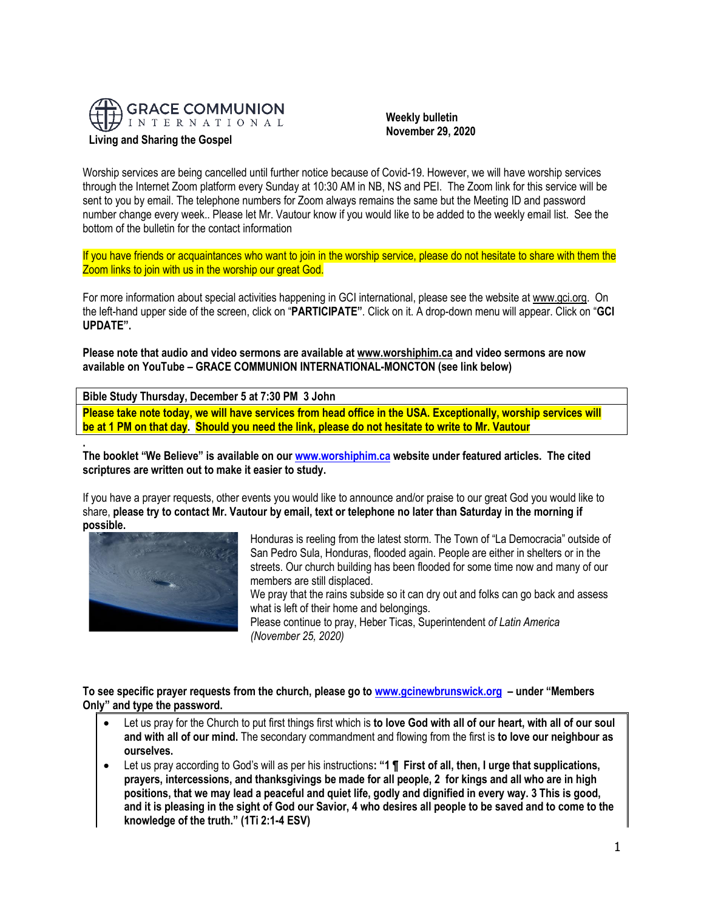

### **Living and Sharing the Gospel**

 **Weekly bulletin November 29, 2020**

Worship services are being cancelled until further notice because of Covid-19. However, we will have worship services through the Internet Zoom platform every Sunday at 10:30 AM in NB, NS and PEI. The Zoom link for this service will be sent to you by email. The telephone numbers for Zoom always remains the same but the Meeting ID and password number change every week.. Please let Mr. Vautour know if you would like to be added to the weekly email list. See the bottom of the bulletin for the contact information

If you have friends or acquaintances who want to join in the worship service, please do not hesitate to share with them the Zoom links to join with us in the worship our great God.

For more information about special activities happening in GCI international, please see the website a[t www.gci.org.](http://www.gci.org/) On the left-hand upper side of the screen, click on "**PARTICIPATE"**. Click on it. A drop-down menu will appear. Click on "**GCI UPDATE".**

**Please note that audio and video sermons are available at [www.worshiphim.ca](http://www.worshiphim.ca/) and video sermons are now available on YouTube – GRACE COMMUNION INTERNATIONAL-MONCTON (see link below)** 

**Bible Study Thursday, December 5 at 7:30 PM 3 John**

**Please take note today, we will have services from head office in the USA. Exceptionally, worship services will be at 1 PM on that day. Should you need the link, please do not hesitate to write to Mr. Vautour**

**. The booklet "We Believe" is available on our [www.worshiphim.ca](http://www.worshiphim.ca/) website under featured articles. The cited scriptures are written out to make it easier to study.**

If you have a prayer requests, other events you would like to announce and/or praise to our great God you would like to share, **please try to contact Mr. Vautour by email, text or telephone no later than Saturday in the morning if possible.**



Honduras is reeling from the latest storm. The Town of "La Democracia" outside of San Pedro Sula, Honduras, flooded again. People are either in shelters or in the streets. Our church building has been flooded for some time now and many of our members are still displaced.

We pray that the rains subside so it can dry out and folks can go back and assess what is left of their home and belongings.

Please continue to pray, Heber Ticas, Superintendent *of Latin America (November 25, 2020)*

**To see specific prayer requests from the church, please go to [www.gcinewbrunswick.org](http://www.gcinewbrunswick.org/) – under "Members Only" and type the password.**

- Let us pray for the Church to put first things first which is **to love God with all of our heart, with all of our soul and with all of our mind.** The secondary commandment and flowing from the first is **to love our neighbour as ourselves.**
- Let us pray according to God's will as per his instructions**: "1 ¶ First of all, then, I urge that supplications, prayers, intercessions, and thanksgivings be made for all people, 2 for kings and all who are in high positions, that we may lead a peaceful and quiet life, godly and dignified in every way. 3 This is good, and it is pleasing in the sight of God our Savior, 4 who desires all people to be saved and to come to the knowledge of the truth." (1Ti 2:1-4 ESV)**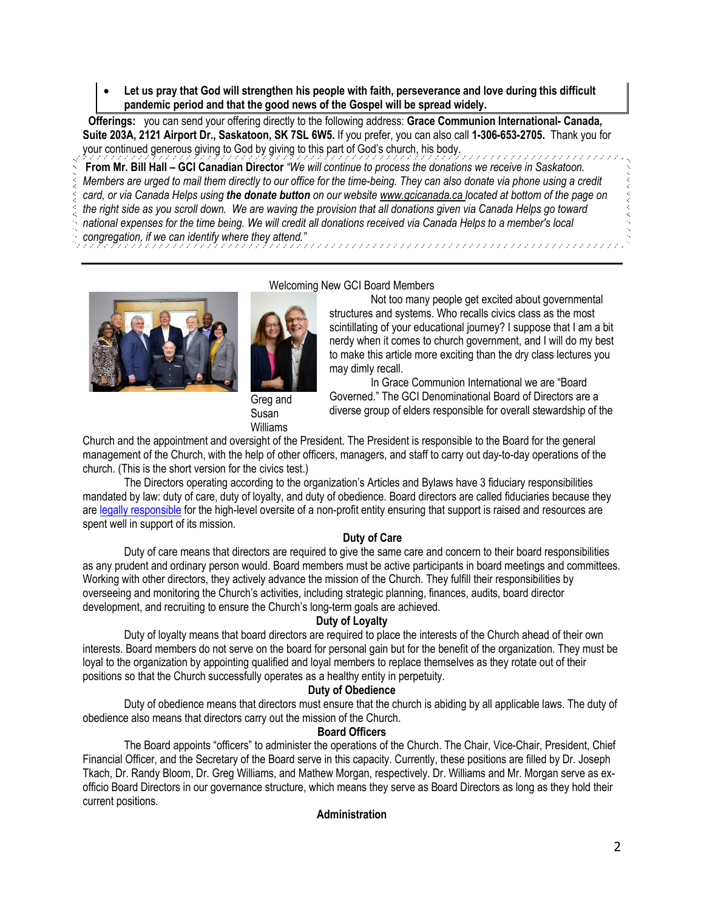• **Let us pray that God will strengthen his people with faith, perseverance and love during this difficult pandemic period and that the good news of the Gospel will be spread widely.** 

**Offerings:** you can send your offering directly to the following address: **Grace Communion International- Canada, Suite 203A, 2121 Airport Dr., Saskatoon, SK 7SL 6W5.** If you prefer, you can also call **1-306-653-2705.** Thank you for your continued generous giving to God by giving to this part of God's church, his body.

**From Mr. Bill Hall – GCI Canadian Director** *"We will continue to process the donations we receive in Saskatoon. Members are urged to mail them directly to our office for the time-being. They can also donate via phone using a credit card, or via Canada Helps using the donate button on our websit[e www.gcicanada.ca](https://eur03.safelinks.protection.outlook.com/?url=http%3A%2F%2Fwww.gcicanada.ca%2F&data=02%7C01%7C%7C9fd93e29c2b44509e5a008d7caa78fdb%7C84df9e7fe9f640afb435aaaaaaaaaaaa%7C1%7C0%7C637200693331983394&sdata=VAGy4Q%2BxbhHuYaeEiDz%2FQyicT%2FoiY4Ir9kc8w5yHRPs%3D&reserved=0) located at bottom of the page on the right side as you scroll down. We are waving the provision that all donations given via Canada Helps go toward national expenses for the time being. We will credit all donations received via Canada Helps to a member's local* 

*congregation, if we can identify where they attend."*



[Welcoming](https://update.gci.org/wp-content/uploads/2019/04/Williams-Greg-Susan-D17_3684.jpg) New GCI Board Members

Not too many people get excited about governmental structures and systems. Who recalls civics class as the most scintillating of your educational journey? I suppose that I am a bit nerdy when it comes to church government, and I will do my best to make this article more exciting than the dry class lectures you may dimly recall.

Greg and Susan Williams

In Grace Communion International we are "Board Governed." The GCI Denominational Board of Directors are a diverse group of elders responsible for overall stewardship of the

Church and the appointment and oversight of the President. The President is responsible to the Board for the general management of the Church, with the help of other officers, managers, and staff to carry out day-to-day operations of the church. (This is the short version for the civics test.)

The Directors operating according to the organization's Articles and Bylaws have 3 fiduciary responsibilities mandated by law: duty of care, duty of loyalty, and duty of obedience. Board directors are called fiduciaries because they are [legally responsible](https://www.councilofnonprofits.org/tools-resources/board-roles-and-responsibilities) for the high-level oversite of a non-profit entity ensuring that support is raised and resources are spent well in support of its mission.

# **Duty of Care**

Duty of care means that directors are required to give the same care and concern to their board responsibilities as any prudent and ordinary person would. Board members must be active participants in board meetings and committees. Working with other directors, they actively advance the mission of the Church. They fulfill their responsibilities by overseeing and monitoring the Church's activities, including strategic planning, finances, audits, board director development, and recruiting to ensure the Church's long-term goals are achieved.

## **Duty of Loyalty**

Duty of loyalty means that board directors are required to place the interests of the Church ahead of their own interests. Board members do not serve on the board for personal gain but for the benefit of the organization. They must be loyal to the organization by appointing qualified and loyal members to replace themselves as they rotate out of their positions so that the Church successfully operates as a healthy entity in perpetuity.

## **Duty of Obedience**

Duty of obedience means that directors must ensure that the church is abiding by all applicable laws. The duty of obedience also means that directors carry out the mission of the Church.

## **Board Officers**

The Board appoints "officers" to administer the operations of the Church. The Chair, Vice-Chair, President, Chief Financial Officer, and the Secretary of the Board serve in this capacity. Currently, these positions are filled by Dr. Joseph Tkach, Dr. Randy Bloom, Dr. Greg Williams, and Mathew Morgan, respectively. Dr. Williams and Mr. Morgan serve as exofficio Board Directors in our governance structure, which means they serve as Board Directors as long as they hold their current positions.

## **Administration**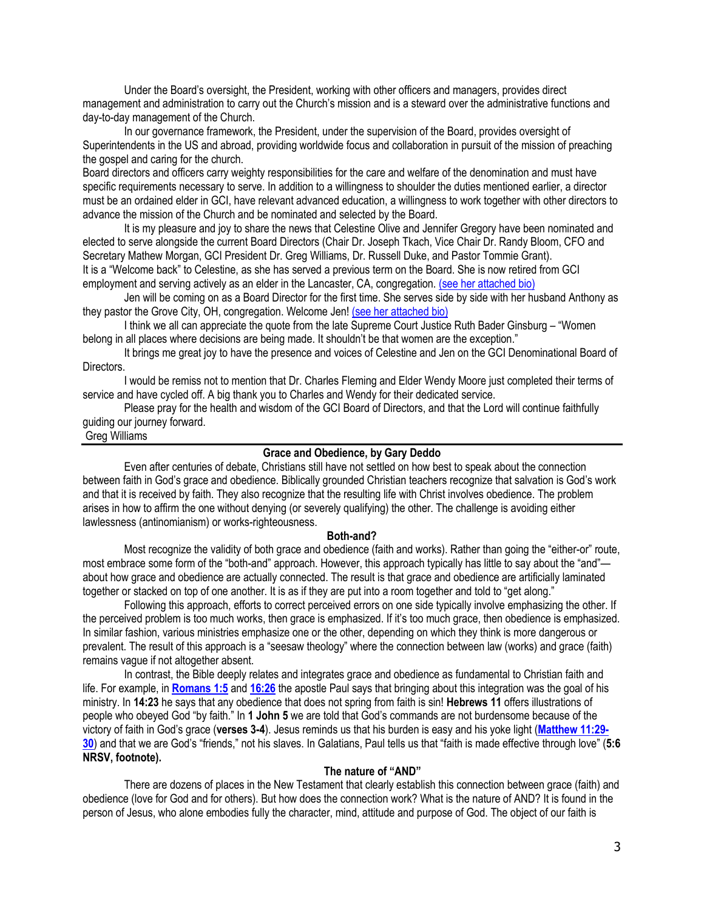Under the Board's oversight, the President, working with other officers and managers, provides direct management and administration to carry out the Church's mission and is a steward over the administrative functions and day-to-day management of the Church.

In our governance framework, the President, under the supervision of the Board, provides oversight of Superintendents in the US and abroad, providing worldwide focus and collaboration in pursuit of the mission of preaching the gospel and caring for the church.

Board directors and officers carry weighty responsibilities for the care and welfare of the denomination and must have specific requirements necessary to serve. In addition to a willingness to shoulder the duties mentioned earlier, a director must be an ordained elder in GCI, have relevant advanced education, a willingness to work together with other directors to advance the mission of the Church and be nominated and selected by the Board.

It is my pleasure and joy to share the news that Celestine Olive and Jennifer Gregory have been nominated and elected to serve alongside the current Board Directors (Chair Dr. Joseph Tkach, Vice Chair Dr. Randy Bloom, CFO and Secretary Mathew Morgan, GCI President Dr. Greg Williams, Dr. Russell Duke, and Pastor Tommie Grant). It is a "Welcome back" to Celestine, as she has served a previous term on the Board. She is now retired from GCI employment and serving actively as an elder in the Lancaster, CA, congregation. [\(see her attached bio\)](https://www.gci.org/about-us/leadership/)

Jen will be coming on as a Board Director for the first time. She serves side by side with her husband Anthony as they pastor the Grove City, OH, congregation. Welcome Jen! [\(see her attached bio\)](https://www.gci.org/about-us/leadership/)

I think we all can appreciate the quote from the late Supreme Court Justice Ruth Bader Ginsburg – "Women belong in all places where decisions are being made. It shouldn't be that women are the exception."

It brings me great joy to have the presence and voices of Celestine and Jen on the GCI Denominational Board of Directors.

I would be remiss not to mention that Dr. Charles Fleming and Elder Wendy Moore just completed their terms of service and have cycled off. A big thank you to Charles and Wendy for their dedicated service.

Please pray for the health and wisdom of the GCI Board of Directors, and that the Lord will continue faithfully guiding our journey forward.

Greg Williams

#### **Grace and Obedience, by Gary Deddo**

Even after centuries of debate, Christians still have not settled on how best to speak about the connection between faith in God's grace and obedience. Biblically grounded Christian teachers recognize that salvation is God's work and that it is received by faith. They also recognize that the resulting life with Christ involves obedience. The problem arises in how to affirm the one without denying (or severely qualifying) the other. The challenge is avoiding either lawlessness (antinomianism) or works-righteousness.

#### **Both-and?**

Most recognize the validity of both grace and obedience (faith and works). Rather than going the "either-or" route, most embrace some form of the "both-and" approach. However, this approach typically has little to say about the "and" about how grace and obedience are actually connected. The result is that grace and obedience are artificially laminated together or stacked on top of one another. It is as if they are put into a room together and told to "get along."

Following this approach, efforts to correct perceived errors on one side typically involve emphasizing the other. If the perceived problem is too much works, then grace is emphasized. If it's too much grace, then obedience is emphasized. In similar fashion, various ministries emphasize one or the other, depending on which they think is more dangerous or prevalent. The result of this approach is a "seesaw theology" where the connection between law (works) and grace (faith) remains vague if not altogether absent.

In contrast, the Bible deeply relates and integrates grace and obedience as fundamental to Christian faith and life. For example, in **[Romans 1:5](https://biblia.com/bible/niv/Rom%201.5)** and **[16:26](https://biblia.com/bible/niv/Romans%2016.26)** the apostle Paul says that bringing about this integration was the goal of his ministry. In **14:23** he says that any obedience that does not spring from faith is sin! **Hebrews 11** offers illustrations of people who obeyed God "by faith." In **1 John 5** we are told that God's commands are not burdensome because of the victory of faith in God's grace (**verses 3-4**). Jesus reminds us that his burden is easy and his yoke light (**[Matthew 11:29-](https://biblia.com/bible/niv/Matt%2011.29-30) [30](https://biblia.com/bible/niv/Matt%2011.29-30)**) and that we are God's "friends," not his slaves. In Galatians, Paul tells us that "faith is made effective through love" (**5:6 NRSV, footnote).**

#### **The nature of "AND"**

There are dozens of places in the New Testament that clearly establish this connection between grace (faith) and obedience (love for God and for others). But how does the connection work? What is the nature of AND? It is found in the person of Jesus, who alone embodies fully the character, mind, attitude and purpose of God. The object of our faith is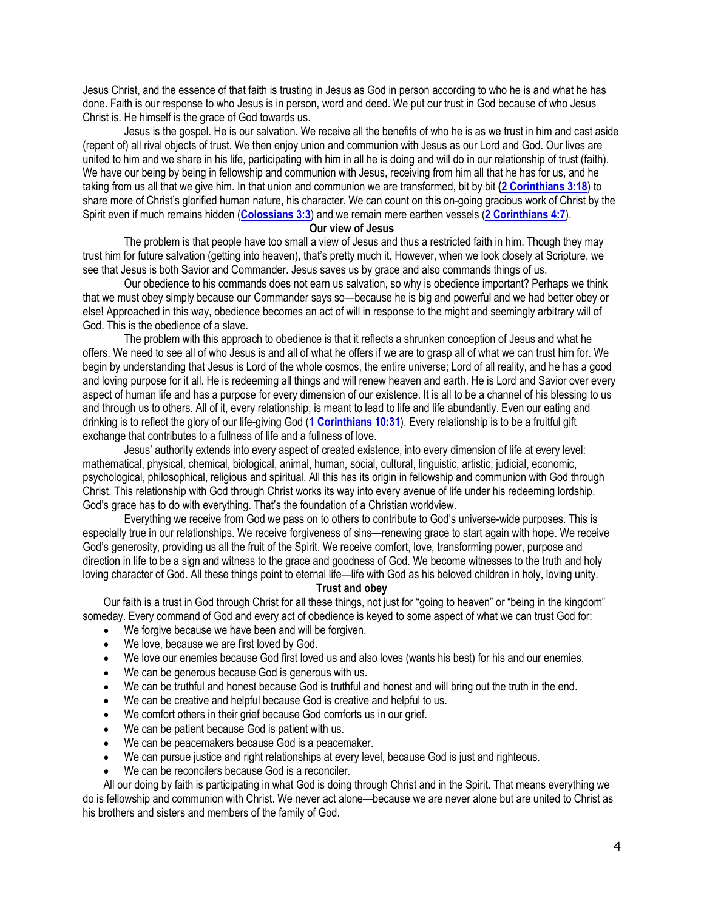Jesus Christ, and the essence of that faith is trusting in Jesus as God in person according to who he is and what he has done. Faith is our response to who Jesus is in person, word and deed. We put our trust in God because of who Jesus Christ is. He himself is the grace of God towards us.

Jesus is the gospel. He is our salvation. We receive all the benefits of who he is as we trust in him and cast aside (repent of) all rival objects of trust. We then enjoy union and communion with Jesus as our Lord and God. Our lives are united to him and we share in his life, participating with him in all he is doing and will do in our relationship of trust (faith). We have our being by being in fellowship and communion with Jesus, receiving from him all that he has for us, and he taking from us all that we give him. In that union and communion we are transformed, bit by bit **[\(2 Corinthians 3:18](https://biblia.com/bible/niv/2%20Cor%203.18)**) to share more of Christ's glorified human nature, his character. We can count on this on-going gracious work of Christ by the Spirit even if much remains hidden (**[Colossians 3:3](https://biblia.com/bible/niv/Col%203.3)**) and we remain mere earthen vessels (**[2 Corinthians 4:7](https://biblia.com/bible/niv/2%20Cor%204.7)**).

### **Our view of Jesus**

The problem is that people have too small a view of Jesus and thus a restricted faith in him. Though they may trust him for future salvation (getting into heaven), that's pretty much it. However, when we look closely at Scripture, we see that Jesus is both Savior and Commander. Jesus saves us by grace and also commands things of us.

Our obedience to his commands does not earn us salvation, so why is obedience important? Perhaps we think that we must obey simply because our Commander says so—because he is big and powerful and we had better obey or else! Approached in this way, obedience becomes an act of will in response to the might and seemingly arbitrary will of God. This is the obedience of a slave.

The problem with this approach to obedience is that it reflects a shrunken conception of Jesus and what he offers. We need to see all of who Jesus is and all of what he offers if we are to grasp all of what we can trust him for. We begin by understanding that Jesus is Lord of the whole cosmos, the entire universe; Lord of all reality, and he has a good and loving purpose for it all. He is redeeming all things and will renew heaven and earth. He is Lord and Savior over every aspect of human life and has a purpose for every dimension of our existence. It is all to be a channel of his blessing to us and through us to others. All of it, every relationship, is meant to lead to life and life abundantly. Even our eating and drinking is to reflect the glory of our life-giving God (1 **[Corinthians 10:31](https://biblia.com/bible/niv/1%20Cor%2010.31)**). Every relationship is to be a fruitful gift exchange that contributes to a fullness of life and a fullness of love.

Jesus' authority extends into every aspect of created existence, into every dimension of life at every level: mathematical, physical, chemical, biological, animal, human, social, cultural, linguistic, artistic, judicial, economic, psychological, philosophical, religious and spiritual. All this has its origin in fellowship and communion with God through Christ. This relationship with God through Christ works its way into every avenue of life under his redeeming lordship. God's grace has to do with everything. That's the foundation of a Christian worldview.

Everything we receive from God we pass on to others to contribute to God's universe-wide purposes. This is especially true in our relationships. We receive forgiveness of sins—renewing grace to start again with hope. We receive God's generosity, providing us all the fruit of the Spirit. We receive comfort, love, transforming power, purpose and direction in life to be a sign and witness to the grace and goodness of God. We become witnesses to the truth and holy loving character of God. All these things point to eternal life—life with God as his beloved children in holy, loving unity.

## **Trust and obey**

Our faith is a trust in God through Christ for all these things, not just for "going to heaven" or "being in the kingdom" someday. Every command of God and every act of obedience is keyed to some aspect of what we can trust God for:

- We forgive because we have been and will be forgiven.
- We love, because we are first loved by God.
- We love our enemies because God first loved us and also loves (wants his best) for his and our enemies.
- We can be generous because God is generous with us.
- We can be truthful and honest because God is truthful and honest and will bring out the truth in the end.
- We can be creative and helpful because God is creative and helpful to us.
- We comfort others in their grief because God comforts us in our grief.
- We can be patient because God is patient with us.
- We can be peacemakers because God is a peacemaker.
- We can pursue justice and right relationships at every level, because God is just and righteous.
- We can be reconcilers because God is a reconciler.

All our doing by faith is participating in what God is doing through Christ and in the Spirit. That means everything we do is fellowship and communion with Christ. We never act alone—because we are never alone but are united to Christ as his brothers and sisters and members of the family of God.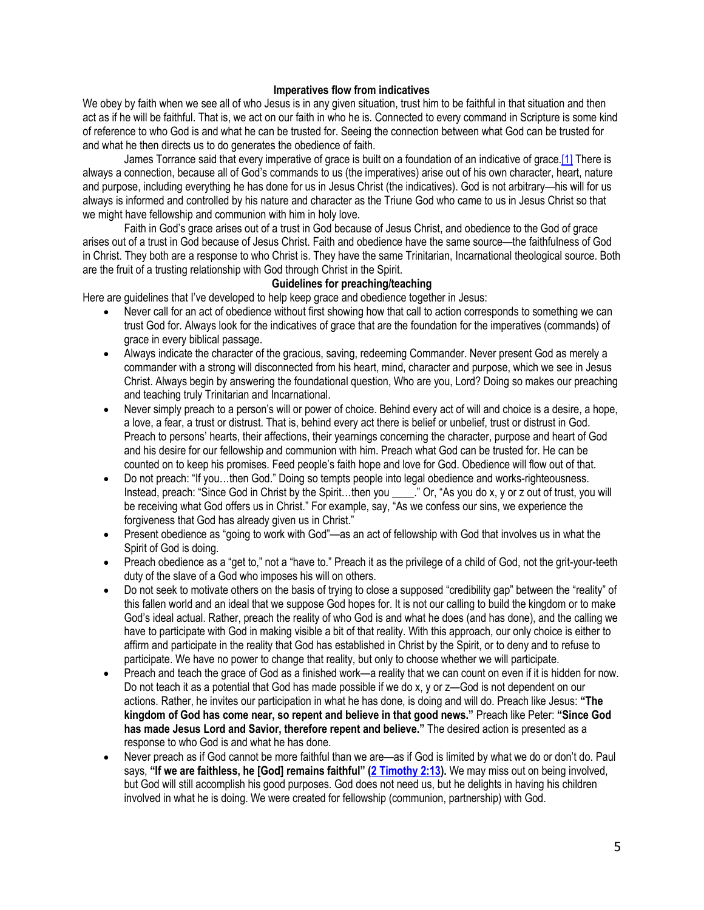### **Imperatives flow from indicatives**

We obey by faith when we see all of who Jesus is in any given situation, trust him to be faithful in that situation and then act as if he will be faithful. That is, we act on our faith in who he is. Connected to every command in Scripture is some kind of reference to who God is and what he can be trusted for. Seeing the connection between what God can be trusted for and what he then directs us to do generates the obedience of faith.

James Torrance said that every imperative of grace is built on a foundation of an indicative of grac[e.\[1\]](https://www.gci.org/articles/grace-and-obedience/#_ftn1) There is always a connection, because all of God's commands to us (the imperatives) arise out of his own character, heart, nature and purpose, including everything he has done for us in Jesus Christ (the indicatives). God is not arbitrary—his will for us always is informed and controlled by his nature and character as the Triune God who came to us in Jesus Christ so that we might have fellowship and communion with him in holy love.

Faith in God's grace arises out of a trust in God because of Jesus Christ, and obedience to the God of grace arises out of a trust in God because of Jesus Christ. Faith and obedience have the same source—the faithfulness of God in Christ. They both are a response to who Christ is. They have the same Trinitarian, Incarnational theological source. Both are the fruit of a trusting relationship with God through Christ in the Spirit.

## **Guidelines for preaching/teaching**

Here are guidelines that I've developed to help keep grace and obedience together in Jesus:

- Never call for an act of obedience without first showing how that call to action corresponds to something we can trust God for. Always look for the indicatives of grace that are the foundation for the imperatives (commands) of grace in every biblical passage.
- Always indicate the character of the gracious, saving, redeeming Commander. Never present God as merely a commander with a strong will disconnected from his heart, mind, character and purpose, which we see in Jesus Christ. Always begin by answering the foundational question, Who are you, Lord? Doing so makes our preaching and teaching truly Trinitarian and Incarnational.
- Never simply preach to a person's will or power of choice. Behind every act of will and choice is a desire, a hope, a love, a fear, a trust or distrust. That is, behind every act there is belief or unbelief, trust or distrust in God. Preach to persons' hearts, their affections, their yearnings concerning the character, purpose and heart of God and his desire for our fellowship and communion with him. Preach what God can be trusted for. He can be counted on to keep his promises. Feed people's faith hope and love for God. Obedience will flow out of that.
- Do not preach: "If you…then God." Doing so tempts people into legal obedience and works-righteousness. Instead, preach: "Since God in Christ by the Spirit…then you \_\_\_\_." Or, "As you do x, y or z out of trust, you will be receiving what God offers us in Christ." For example, say, "As we confess our sins, we experience the forgiveness that God has already given us in Christ."
- Present obedience as "going to work with God"—as an act of fellowship with God that involves us in what the Spirit of God is doing.
- Preach obedience as a "get to," not a "have to." Preach it as the privilege of a child of God, not the grit-your-teeth duty of the slave of a God who imposes his will on others.
- Do not seek to motivate others on the basis of trying to close a supposed "credibility gap" between the "reality" of this fallen world and an ideal that we suppose God hopes for. It is not our calling to build the kingdom or to make God's ideal actual. Rather, preach the reality of who God is and what he does (and has done), and the calling we have to participate with God in making visible a bit of that reality. With this approach, our only choice is either to affirm and participate in the reality that God has established in Christ by the Spirit, or to deny and to refuse to participate. We have no power to change that reality, but only to choose whether we will participate.
- Preach and teach the grace of God as a finished work—a reality that we can count on even if it is hidden for now. Do not teach it as a potential that God has made possible if we do x, y or z—God is not dependent on our actions. Rather, he invites our participation in what he has done, is doing and will do. Preach like Jesus: **"The kingdom of God has come near, so repent and believe in that good news."** Preach like Peter: **"Since God has made Jesus Lord and Savior, therefore repent and believe."** The desired action is presented as a response to who God is and what he has done.
- Never preach as if God cannot be more faithful than we are—as if God is limited by what we do or don't do. Paul says, **"If we are faithless, he [God] remains faithful" ([2 Timothy 2:13\)](https://biblia.com/bible/niv/2%20Tim%202.13).** We may miss out on being involved, but God will still accomplish his good purposes. God does not need us, but he delights in having his children involved in what he is doing. We were created for fellowship (communion, partnership) with God.